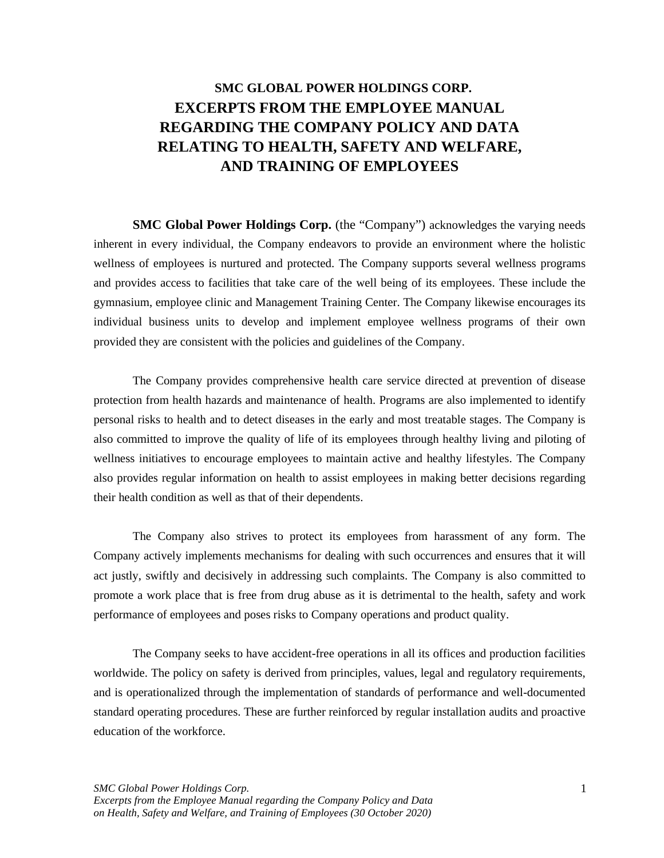# **SMC GLOBAL POWER HOLDINGS CORP. EXCERPTS FROM THE EMPLOYEE MANUAL REGARDING THE COMPANY POLICY AND DATA RELATING TO HEALTH, SAFETY AND WELFARE, AND TRAINING OF EMPLOYEES**

**SMC Global Power Holdings Corp.** (the "Company") acknowledges the varying needs inherent in every individual, the Company endeavors to provide an environment where the holistic wellness of employees is nurtured and protected. The Company supports several wellness programs and provides access to facilities that take care of the well being of its employees. These include the gymnasium, employee clinic and Management Training Center. The Company likewise encourages its individual business units to develop and implement employee wellness programs of their own provided they are consistent with the policies and guidelines of the Company.

The Company provides comprehensive health care service directed at prevention of disease protection from health hazards and maintenance of health. Programs are also implemented to identify personal risks to health and to detect diseases in the early and most treatable stages. The Company is also committed to improve the quality of life of its employees through healthy living and piloting of wellness initiatives to encourage employees to maintain active and healthy lifestyles. The Company also provides regular information on health to assist employees in making better decisions regarding their health condition as well as that of their dependents.

The Company also strives to protect its employees from harassment of any form. The Company actively implements mechanisms for dealing with such occurrences and ensures that it will act justly, swiftly and decisively in addressing such complaints. The Company is also committed to promote a work place that is free from drug abuse as it is detrimental to the health, safety and work performance of employees and poses risks to Company operations and product quality.

The Company seeks to have accident-free operations in all its offices and production facilities worldwide. The policy on safety is derived from principles, values, legal and regulatory requirements, and is operationalized through the implementation of standards of performance and well-documented standard operating procedures. These are further reinforced by regular installation audits and proactive education of the workforce.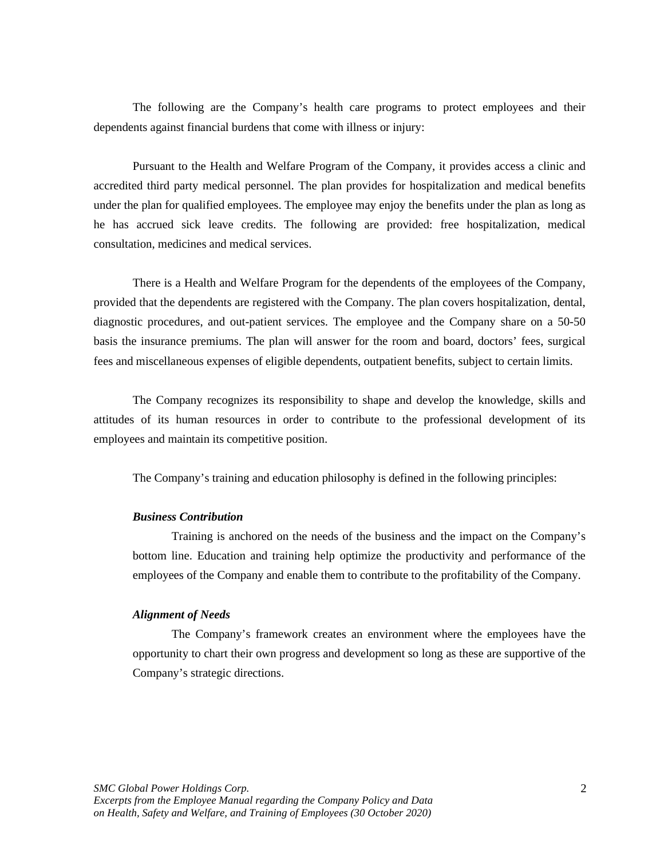The following are the Company's health care programs to protect employees and their dependents against financial burdens that come with illness or injury:

Pursuant to the Health and Welfare Program of the Company, it provides access a clinic and accredited third party medical personnel. The plan provides for hospitalization and medical benefits under the plan for qualified employees. The employee may enjoy the benefits under the plan as long as he has accrued sick leave credits. The following are provided: free hospitalization, medical consultation, medicines and medical services.

There is a Health and Welfare Program for the dependents of the employees of the Company, provided that the dependents are registered with the Company. The plan covers hospitalization, dental, diagnostic procedures, and out-patient services. The employee and the Company share on a 50-50 basis the insurance premiums. The plan will answer for the room and board, doctors' fees, surgical fees and miscellaneous expenses of eligible dependents, outpatient benefits, subject to certain limits.

The Company recognizes its responsibility to shape and develop the knowledge, skills and attitudes of its human resources in order to contribute to the professional development of its employees and maintain its competitive position.

The Company's training and education philosophy is defined in the following principles:

## *Business Contribution*

Training is anchored on the needs of the business and the impact on the Company's bottom line. Education and training help optimize the productivity and performance of the employees of the Company and enable them to contribute to the profitability of the Company.

## *Alignment of Needs*

The Company's framework creates an environment where the employees have the opportunity to chart their own progress and development so long as these are supportive of the Company's strategic directions.